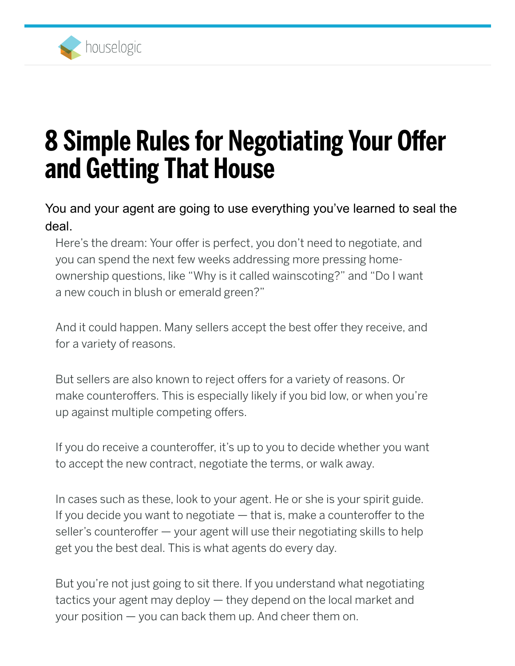

# 8 Simple Rules for Negotiating Your Offer and Getting That House

You and your agent are going to use everything you've learned to seal the deal.

Here's the dream: Your offer is perfect, you don't need to negotiate, and you can spend the next few weeks addressing more pressing homeownership questions, like "Why is it called wainscoting?" and "Do I want a new couch in blush or emerald green?"

And it could happen. Many sellers accept the best offer they receive, and for a variety of reasons.

But sellers are also known to reject offers for a variety of reasons. Or make counteroffers. This is especially likely if you bid low, or when you're up against multiple competing offers.

If you do receive a counteroffer, it's up to you to decide whether you want to accept the new contract, negotiate the terms, or walk away.

In cases such as these, look to your agent. He or she is your spirit guide. If you decide you want to negotiate — that is, make a counteroffer to the seller's counteroffer — your agent will use their negotiating skills to help get you the best deal. This is what agents do every day.

But you're not just going to sit there. If you understand what negotiating tactics your agent may deploy — they depend on the local market and your position — you can back them up. And cheer them on.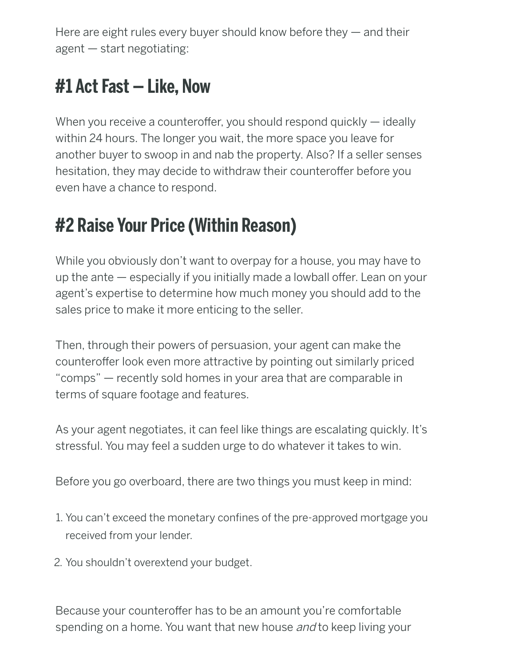Here are eight rules every buyer should know before they — and their agent — start negotiating:

#### #1 Act Fast — Like, Now

When you receive a counteroffer, you should respond quickly — ideally within 24 hours. The longer you wait, the more space you leave for another buyer to swoop in and nab the property. Also? If a seller senses hesitation, they may decide to withdraw their counteroffer before you even have a chance to respond.

# #2 Raise Your Price (Within Reason)

While you obviously don't want to overpay for a house, you may have to up the ante — especially if you initially made a lowball offer. Lean on your agent's expertise to determine how much money you should add to the sales price to make it more enticing to the seller.

Then, through their powers of persuasion, your agent can make the counteroffer look even more attractive by pointing out similarly priced "comps" — recently sold homes in your area that are comparable in terms of square footage and features.

As your agent negotiates, it can feel like things are escalating quickly. It's stressful. You may feel a sudden urge to do whatever it takes to win.

Before you go overboard, there are two things you must keep in mind:

- 1. You can't exceed the monetary confines of the pre-approved mortgage you received from your lender.
- 2. You shouldn't overextend your budget.

Because your counteroffer has to be an amount you're comfortable spending on a home. You want that new house and to keep living your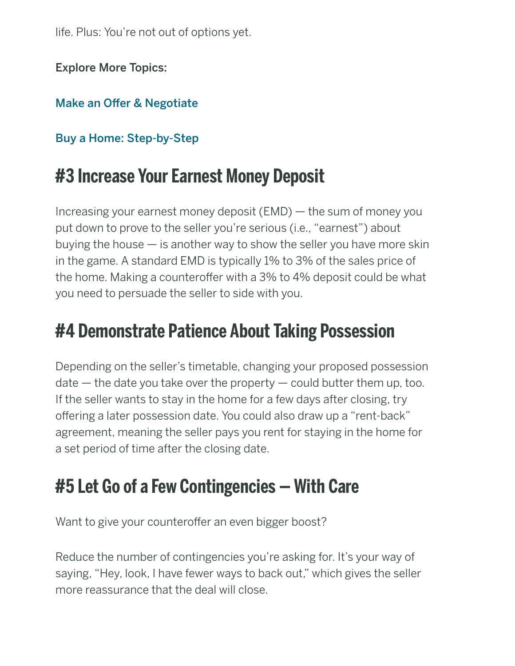life. Plus: You're not out of options yet.

Explore More Topics:

#### [Make an Offer & Negotiate](https://www.houselogic.com/spotlight/make-offer-negotiate/)

#### [Buy a Home: Step-by-Step](https://www.houselogic.com/buy-sell/)

#### #3 Increase Your Earnest Money Deposit

Increasing your earnest money deposit (EMD) — the sum of money you put down to prove to the seller you're serious (i.e., "earnest") about buying the house — is another way to show the seller you have more skin in the game. A standard EMD is typically 1% to 3% of the sales price of the home. Making a counteroffer with a 3% to 4% deposit could be what you need to persuade the seller to side with you.

#### #4 Demonstrate Patience About Taking Possession

Depending on the seller's timetable, changing your proposed possession  $\alpha$  date  $-$  the date you take over the property  $-$  could butter them up, too. If the seller wants to stay in the home for a few days after closing, try offering a later possession date. You could also draw up a "rent-back" agreement, meaning the seller pays you rent for staying in the home for a set period of time after the closing date.

#### #5 Let Go of a Few Contingencies — With Care

Want to give your counteroffer an even bigger boost?

Reduce the number of contingencies you're asking for. It's your way of saying, "Hey, look, I have fewer ways to back out," which gives the seller more reassurance that the deal will close.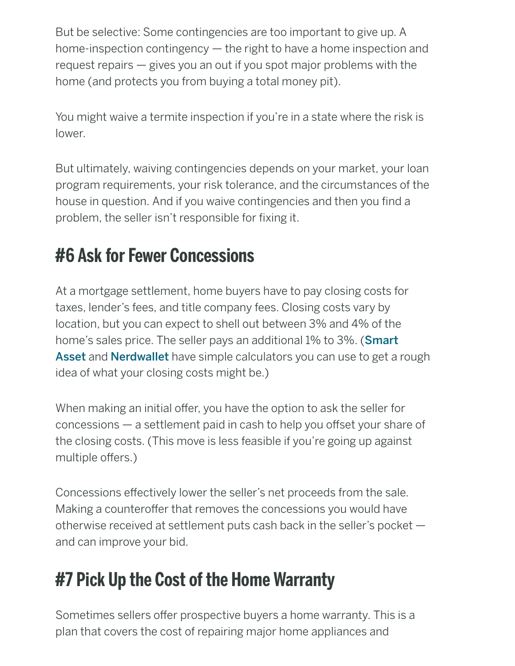But be selective: Some contingencies are too important to give up. A home-inspection contingency — the right to have a home inspection and request repairs — gives you an out if you spot major problems with the home (and protects you from buying a total money pit).

You might waive a termite inspection if you're in a state where the risk is lower.

But ultimately, waiving contingencies depends on your market, your loan program requirements, your risk tolerance, and the circumstances of the house in question. And if you waive contingencies and then you find a problem, the seller isn't responsible for fixing it.

#### #6 Ask for Fewer Concessions

At a mortgage settlement, home buyers have to pay closing costs for taxes, lender's fees, and title company fees. Closing costs vary by location, but you can expect to shell out between 3% and 4% of the [home's sales price. The seller pays an additional 1% to 3%. \(](https://smartasset.com/mortgage/closing-costs)**Smart** Asset and [Nerdwallet](https://www.nerdwallet.com/blog/mortgages/closing-costs-calculator/) have simple calculators you can use to get a rough idea of what your closing costs might be.)

When making an initial offer, you have the option to ask the seller for concessions — a settlement paid in cash to help you offset your share of the closing costs. (This move is less feasible if you're going up against multiple offers.)

Concessions effectively lower the seller's net proceeds from the sale. Making a counteroffer that removes the concessions you would have otherwise received at settlement puts cash back in the seller's pocket and can improve your bid.

## #7 Pick Up the Cost of the Home Warranty

Sometimes sellers offer prospective buyers a home warranty. This is a plan that covers the cost of repairing major home appliances and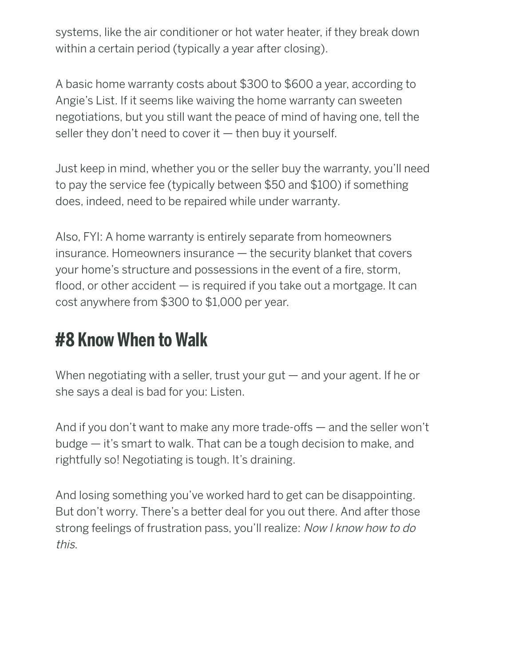systems, like the air conditioner or hot water heater, if they break down within a certain period (typically a year after closing).

A basic home warranty costs about \$300 to \$600 a year, according to Angie's List. If it seems like waiving the home warranty can sweeten negotiations, but you still want the peace of mind of having one, tell the seller they don't need to cover it  $-$  then buy it yourself.

Just keep in mind, whether you or the seller buy the warranty, you'll need to pay the service fee (typically between \$50 and \$100) if something does, indeed, need to be repaired while under warranty.

Also, FYI: A home warranty is entirely separate from homeowners insurance. Homeowners insurance — the security blanket that covers your home's structure and possessions in the event of a fire, storm, flood, or other accident — is required if you take out a mortgage. It can cost anywhere from \$300 to \$1,000 per year.

## #8 Know When to Walk

When negotiating with a seller, trust your gut — and your agent. If he or she says a deal is bad for you: Listen.

And if you don't want to make any more trade-offs — and the seller won't budge — it's smart to walk. That can be a tough decision to make, and rightfully so! Negotiating is tough. It's draining.

And losing something you've worked hard to get can be disappointing. But don't worry. There's a better deal for you out there. And after those strong feelings of frustration pass, you'll realize: Now I know how to do this.